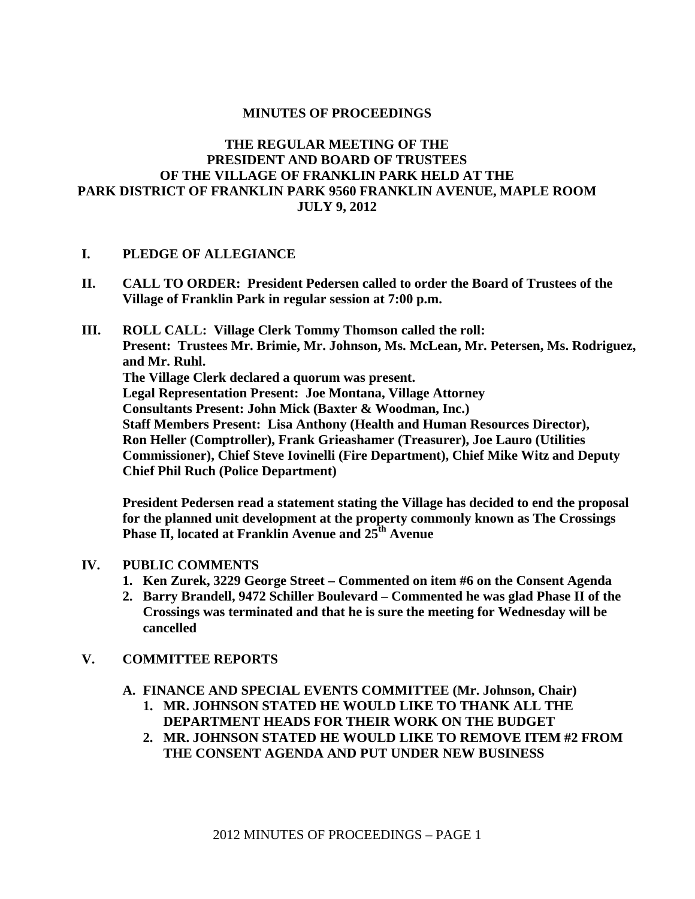# **MINUTES OF PROCEEDINGS**

# **THE REGULAR MEETING OF THE PRESIDENT AND BOARD OF TRUSTEES OF THE VILLAGE OF FRANKLIN PARK HELD AT THE PARK DISTRICT OF FRANKLIN PARK 9560 FRANKLIN AVENUE, MAPLE ROOM JULY 9, 2012**

# **I. PLEDGE OF ALLEGIANCE**

- **II. CALL TO ORDER: President Pedersen called to order the Board of Trustees of the Village of Franklin Park in regular session at 7:00 p.m.**
- **III. ROLL CALL: Village Clerk Tommy Thomson called the roll: Present: Trustees Mr. Brimie, Mr. Johnson, Ms. McLean, Mr. Petersen, Ms. Rodriguez, and Mr. Ruhl. The Village Clerk declared a quorum was present. Legal Representation Present: Joe Montana, Village Attorney Consultants Present: John Mick (Baxter & Woodman, Inc.) Staff Members Present: Lisa Anthony (Health and Human Resources Director), Ron Heller (Comptroller), Frank Grieashamer (Treasurer), Joe Lauro (Utilities Commissioner), Chief Steve Iovinelli (Fire Department), Chief Mike Witz and Deputy Chief Phil Ruch (Police Department)**

**President Pedersen read a statement stating the Village has decided to end the proposal for the planned unit development at the property commonly known as The Crossings Phase II, located at Franklin Avenue and 25<sup>th</sup> Avenue** 

# **IV. PUBLIC COMMENTS**

- **1. Ken Zurek, 3229 George Street Commented on item #6 on the Consent Agenda**
- **2. Barry Brandell, 9472 Schiller Boulevard Commented he was glad Phase II of the Crossings was terminated and that he is sure the meeting for Wednesday will be cancelled**

# **V. COMMITTEE REPORTS**

- **A. FINANCE AND SPECIAL EVENTS COMMITTEE (Mr. Johnson, Chair)** 
	- **1. MR. JOHNSON STATED HE WOULD LIKE TO THANK ALL THE DEPARTMENT HEADS FOR THEIR WORK ON THE BUDGET**
	- **2. MR. JOHNSON STATED HE WOULD LIKE TO REMOVE ITEM #2 FROM THE CONSENT AGENDA AND PUT UNDER NEW BUSINESS**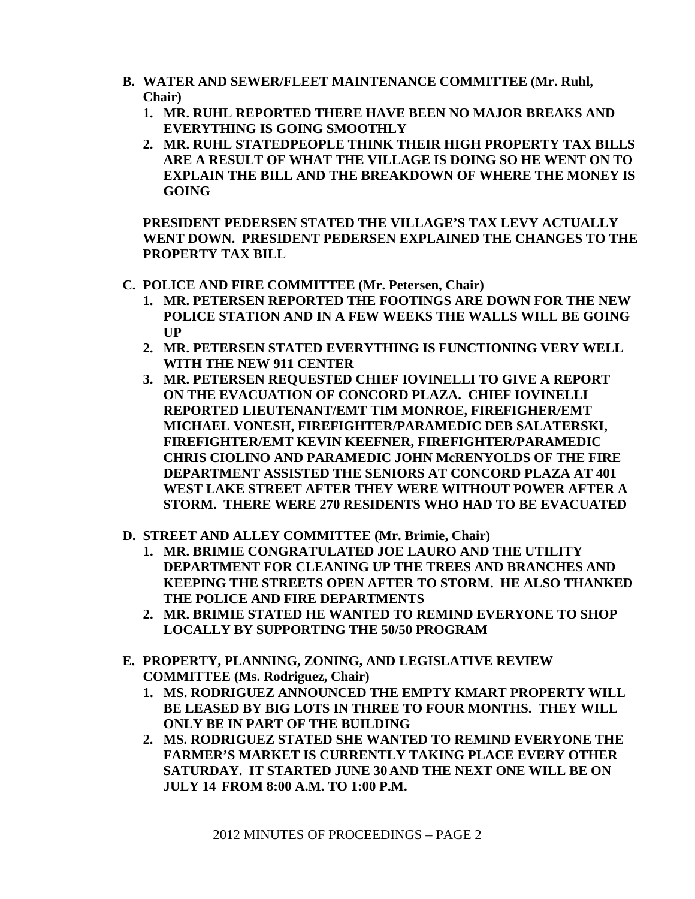- **B. WATER AND SEWER/FLEET MAINTENANCE COMMITTEE (Mr. Ruhl, Chair)** 
	- **1. MR. RUHL REPORTED THERE HAVE BEEN NO MAJOR BREAKS AND EVERYTHING IS GOING SMOOTHLY**
	- **2. MR. RUHL STATEDPEOPLE THINK THEIR HIGH PROPERTY TAX BILLS ARE A RESULT OF WHAT THE VILLAGE IS DOING SO HE WENT ON TO EXPLAIN THE BILL AND THE BREAKDOWN OF WHERE THE MONEY IS GOING**

**PRESIDENT PEDERSEN STATED THE VILLAGE'S TAX LEVY ACTUALLY WENT DOWN. PRESIDENT PEDERSEN EXPLAINED THE CHANGES TO THE PROPERTY TAX BILL** 

- **C. POLICE AND FIRE COMMITTEE (Mr. Petersen, Chair)** 
	- **1. MR. PETERSEN REPORTED THE FOOTINGS ARE DOWN FOR THE NEW POLICE STATION AND IN A FEW WEEKS THE WALLS WILL BE GOING UP**
	- **2. MR. PETERSEN STATED EVERYTHING IS FUNCTIONING VERY WELL WITH THE NEW 911 CENTER**
	- **3. MR. PETERSEN REQUESTED CHIEF IOVINELLI TO GIVE A REPORT ON THE EVACUATION OF CONCORD PLAZA. CHIEF IOVINELLI REPORTED LIEUTENANT/EMT TIM MONROE, FIREFIGHER/EMT MICHAEL VONESH, FIREFIGHTER/PARAMEDIC DEB SALATERSKI, FIREFIGHTER/EMT KEVIN KEEFNER, FIREFIGHTER/PARAMEDIC CHRIS CIOLINO AND PARAMEDIC JOHN McRENYOLDS OF THE FIRE DEPARTMENT ASSISTED THE SENIORS AT CONCORD PLAZA AT 401 WEST LAKE STREET AFTER THEY WERE WITHOUT POWER AFTER A STORM. THERE WERE 270 RESIDENTS WHO HAD TO BE EVACUATED**
- **D. STREET AND ALLEY COMMITTEE (Mr. Brimie, Chair)** 
	- **1. MR. BRIMIE CONGRATULATED JOE LAURO AND THE UTILITY DEPARTMENT FOR CLEANING UP THE TREES AND BRANCHES AND KEEPING THE STREETS OPEN AFTER TO STORM. HE ALSO THANKED THE POLICE AND FIRE DEPARTMENTS**
	- **2. MR. BRIMIE STATED HE WANTED TO REMIND EVERYONE TO SHOP LOCALLY BY SUPPORTING THE 50/50 PROGRAM**
- **E. PROPERTY, PLANNING, ZONING, AND LEGISLATIVE REVIEW COMMITTEE (Ms. Rodriguez, Chair)** 
	- **1. MS. RODRIGUEZ ANNOUNCED THE EMPTY KMART PROPERTY WILL BE LEASED BY BIG LOTS IN THREE TO FOUR MONTHS. THEY WILL ONLY BE IN PART OF THE BUILDING**
	- **2. MS. RODRIGUEZ STATED SHE WANTED TO REMIND EVERYONE THE FARMER'S MARKET IS CURRENTLY TAKING PLACE EVERY OTHER SATURDAY. IT STARTED JUNE 30 AND THE NEXT ONE WILL BE ON JULY 14 FROM 8:00 A.M. TO 1:00 P.M.**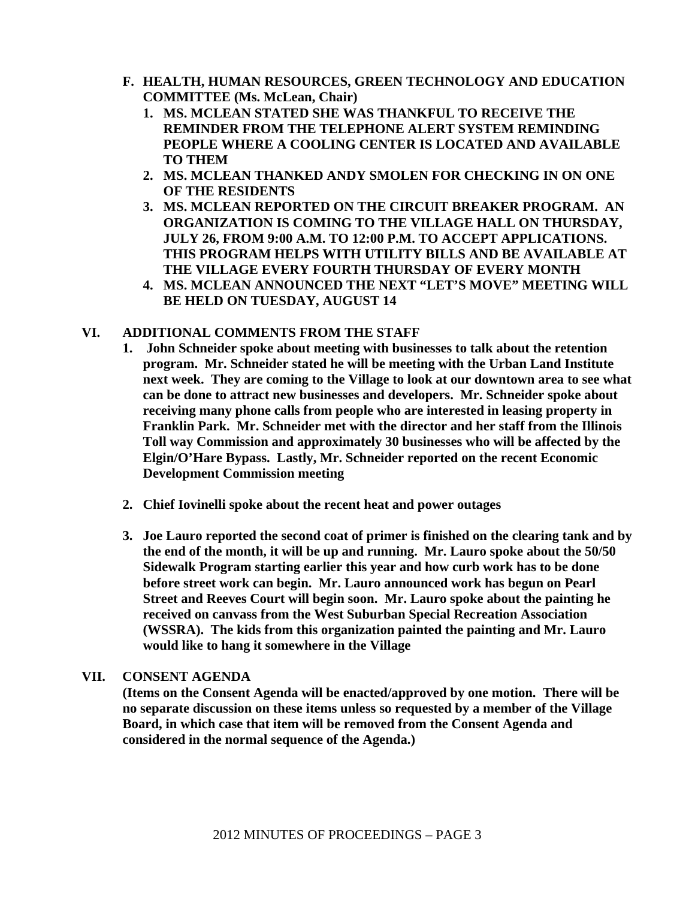- **F. HEALTH, HUMAN RESOURCES, GREEN TECHNOLOGY AND EDUCATION COMMITTEE (Ms. McLean, Chair)** 
	- **1. MS. MCLEAN STATED SHE WAS THANKFUL TO RECEIVE THE REMINDER FROM THE TELEPHONE ALERT SYSTEM REMINDING PEOPLE WHERE A COOLING CENTER IS LOCATED AND AVAILABLE TO THEM**
	- **2. MS. MCLEAN THANKED ANDY SMOLEN FOR CHECKING IN ON ONE OF THE RESIDENTS**
	- **3. MS. MCLEAN REPORTED ON THE CIRCUIT BREAKER PROGRAM. AN ORGANIZATION IS COMING TO THE VILLAGE HALL ON THURSDAY, JULY 26, FROM 9:00 A.M. TO 12:00 P.M. TO ACCEPT APPLICATIONS. THIS PROGRAM HELPS WITH UTILITY BILLS AND BE AVAILABLE AT THE VILLAGE EVERY FOURTH THURSDAY OF EVERY MONTH**
	- **4. MS. MCLEAN ANNOUNCED THE NEXT "LET'S MOVE" MEETING WILL BE HELD ON TUESDAY, AUGUST 14**

# **VI. ADDITIONAL COMMENTS FROM THE STAFF**

- **1. John Schneider spoke about meeting with businesses to talk about the retention program. Mr. Schneider stated he will be meeting with the Urban Land Institute next week. They are coming to the Village to look at our downtown area to see what can be done to attract new businesses and developers. Mr. Schneider spoke about receiving many phone calls from people who are interested in leasing property in Franklin Park. Mr. Schneider met with the director and her staff from the Illinois Toll way Commission and approximately 30 businesses who will be affected by the Elgin/O'Hare Bypass. Lastly, Mr. Schneider reported on the recent Economic Development Commission meeting**
- **2. Chief Iovinelli spoke about the recent heat and power outages**
- **3. Joe Lauro reported the second coat of primer is finished on the clearing tank and by the end of the month, it will be up and running. Mr. Lauro spoke about the 50/50 Sidewalk Program starting earlier this year and how curb work has to be done before street work can begin. Mr. Lauro announced work has begun on Pearl Street and Reeves Court will begin soon. Mr. Lauro spoke about the painting he received on canvass from the West Suburban Special Recreation Association (WSSRA). The kids from this organization painted the painting and Mr. Lauro would like to hang it somewhere in the Village**

# **VII. CONSENT AGENDA**

**(Items on the Consent Agenda will be enacted/approved by one motion. There will be no separate discussion on these items unless so requested by a member of the Village Board, in which case that item will be removed from the Consent Agenda and considered in the normal sequence of the Agenda.)**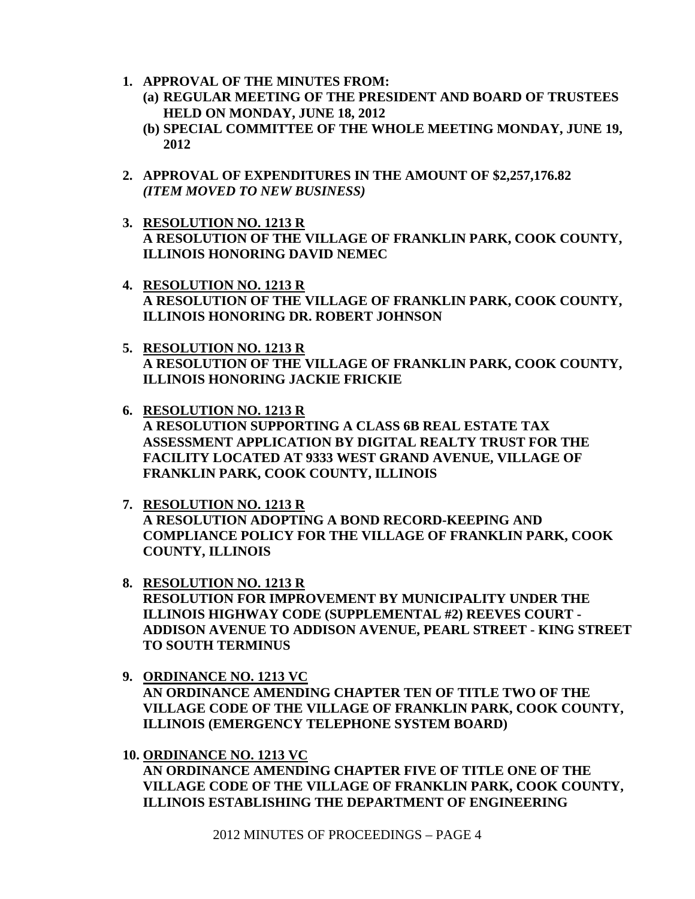- **1. APPROVAL OF THE MINUTES FROM:** 
	- **(a) REGULAR MEETING OF THE PRESIDENT AND BOARD OF TRUSTEES HELD ON MONDAY, JUNE 18, 2012**
	- **(b) SPECIAL COMMITTEE OF THE WHOLE MEETING MONDAY, JUNE 19, 2012**
- **2. APPROVAL OF EXPENDITURES IN THE AMOUNT OF \$2,257,176.82**  *(ITEM MOVED TO NEW BUSINESS)*
- **3. RESOLUTION NO. 1213 R A RESOLUTION OF THE VILLAGE OF FRANKLIN PARK, COOK COUNTY, ILLINOIS HONORING DAVID NEMEC**
- **4. RESOLUTION NO. 1213 R A RESOLUTION OF THE VILLAGE OF FRANKLIN PARK, COOK COUNTY, ILLINOIS HONORING DR. ROBERT JOHNSON**
- **5. RESOLUTION NO. 1213 R A RESOLUTION OF THE VILLAGE OF FRANKLIN PARK, COOK COUNTY, ILLINOIS HONORING JACKIE FRICKIE**
- **6. RESOLUTION NO. 1213 R A RESOLUTION SUPPORTING A CLASS 6B REAL ESTATE TAX ASSESSMENT APPLICATION BY DIGITAL REALTY TRUST FOR THE FACILITY LOCATED AT 9333 WEST GRAND AVENUE, VILLAGE OF FRANKLIN PARK, COOK COUNTY, ILLINOIS**
- **7. RESOLUTION NO. 1213 R A RESOLUTION ADOPTING A BOND RECORD-KEEPING AND COMPLIANCE POLICY FOR THE VILLAGE OF FRANKLIN PARK, COOK COUNTY, ILLINOIS**
- **8. RESOLUTION NO. 1213 R RESOLUTION FOR IMPROVEMENT BY MUNICIPALITY UNDER THE ILLINOIS HIGHWAY CODE (SUPPLEMENTAL #2) REEVES COURT - ADDISON AVENUE TO ADDISON AVENUE, PEARL STREET - KING STREET TO SOUTH TERMINUS**
- **9. ORDINANCE NO. 1213 VC AN ORDINANCE AMENDING CHAPTER TEN OF TITLE TWO OF THE VILLAGE CODE OF THE VILLAGE OF FRANKLIN PARK, COOK COUNTY, ILLINOIS (EMERGENCY TELEPHONE SYSTEM BOARD)**
- **10. ORDINANCE NO. 1213 VC AN ORDINANCE AMENDING CHAPTER FIVE OF TITLE ONE OF THE VILLAGE CODE OF THE VILLAGE OF FRANKLIN PARK, COOK COUNTY, ILLINOIS ESTABLISHING THE DEPARTMENT OF ENGINEERING**

2012 MINUTES OF PROCEEDINGS – PAGE 4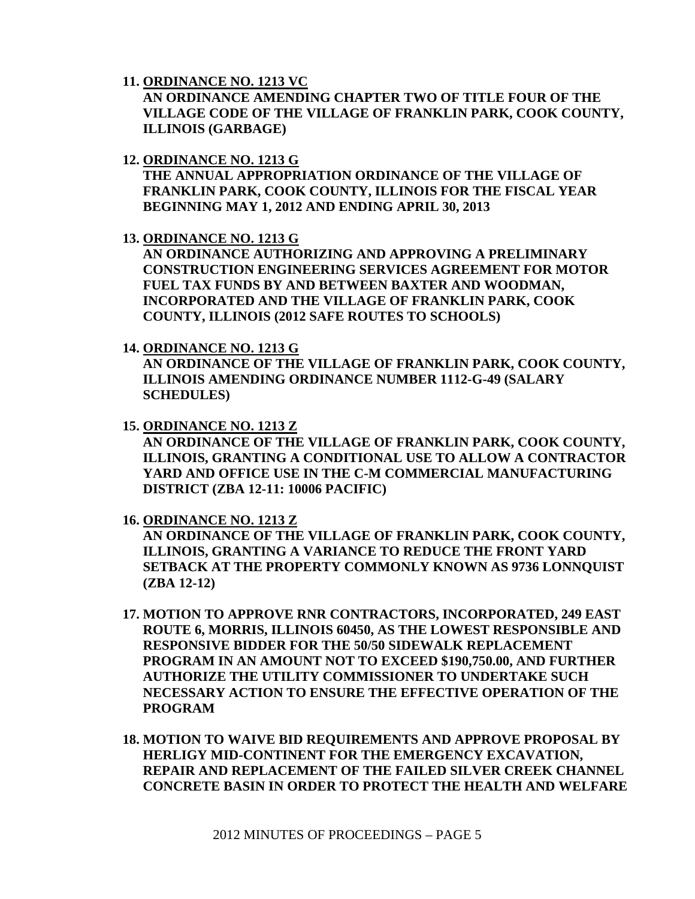**11. ORDINANCE NO. 1213 VC**

**AN ORDINANCE AMENDING CHAPTER TWO OF TITLE FOUR OF THE VILLAGE CODE OF THE VILLAGE OF FRANKLIN PARK, COOK COUNTY, ILLINOIS (GARBAGE)** 

**12. ORDINANCE NO. 1213 G**

**THE ANNUAL APPROPRIATION ORDINANCE OF THE VILLAGE OF FRANKLIN PARK, COOK COUNTY, ILLINOIS FOR THE FISCAL YEAR BEGINNING MAY 1, 2012 AND ENDING APRIL 30, 2013** 

**13. ORDINANCE NO. 1213 G**

**AN ORDINANCE AUTHORIZING AND APPROVING A PRELIMINARY CONSTRUCTION ENGINEERING SERVICES AGREEMENT FOR MOTOR FUEL TAX FUNDS BY AND BETWEEN BAXTER AND WOODMAN, INCORPORATED AND THE VILLAGE OF FRANKLIN PARK, COOK COUNTY, ILLINOIS (2012 SAFE ROUTES TO SCHOOLS)** 

**14. ORDINANCE NO. 1213 G**

**AN ORDINANCE OF THE VILLAGE OF FRANKLIN PARK, COOK COUNTY, ILLINOIS AMENDING ORDINANCE NUMBER 1112-G-49 (SALARY SCHEDULES)** 

**15. ORDINANCE NO. 1213 Z**

**AN ORDINANCE OF THE VILLAGE OF FRANKLIN PARK, COOK COUNTY, ILLINOIS, GRANTING A CONDITIONAL USE TO ALLOW A CONTRACTOR YARD AND OFFICE USE IN THE C-M COMMERCIAL MANUFACTURING DISTRICT (ZBA 12-11: 10006 PACIFIC)** 

**16. ORDINANCE NO. 1213 Z**

**AN ORDINANCE OF THE VILLAGE OF FRANKLIN PARK, COOK COUNTY, ILLINOIS, GRANTING A VARIANCE TO REDUCE THE FRONT YARD SETBACK AT THE PROPERTY COMMONLY KNOWN AS 9736 LONNQUIST (ZBA 12-12)** 

- **17. MOTION TO APPROVE RNR CONTRACTORS, INCORPORATED, 249 EAST ROUTE 6, MORRIS, ILLINOIS 60450, AS THE LOWEST RESPONSIBLE AND RESPONSIVE BIDDER FOR THE 50/50 SIDEWALK REPLACEMENT PROGRAM IN AN AMOUNT NOT TO EXCEED \$190,750.00, AND FURTHER AUTHORIZE THE UTILITY COMMISSIONER TO UNDERTAKE SUCH NECESSARY ACTION TO ENSURE THE EFFECTIVE OPERATION OF THE PROGRAM**
- **18. MOTION TO WAIVE BID REQUIREMENTS AND APPROVE PROPOSAL BY HERLIGY MID-CONTINENT FOR THE EMERGENCY EXCAVATION, REPAIR AND REPLACEMENT OF THE FAILED SILVER CREEK CHANNEL CONCRETE BASIN IN ORDER TO PROTECT THE HEALTH AND WELFARE**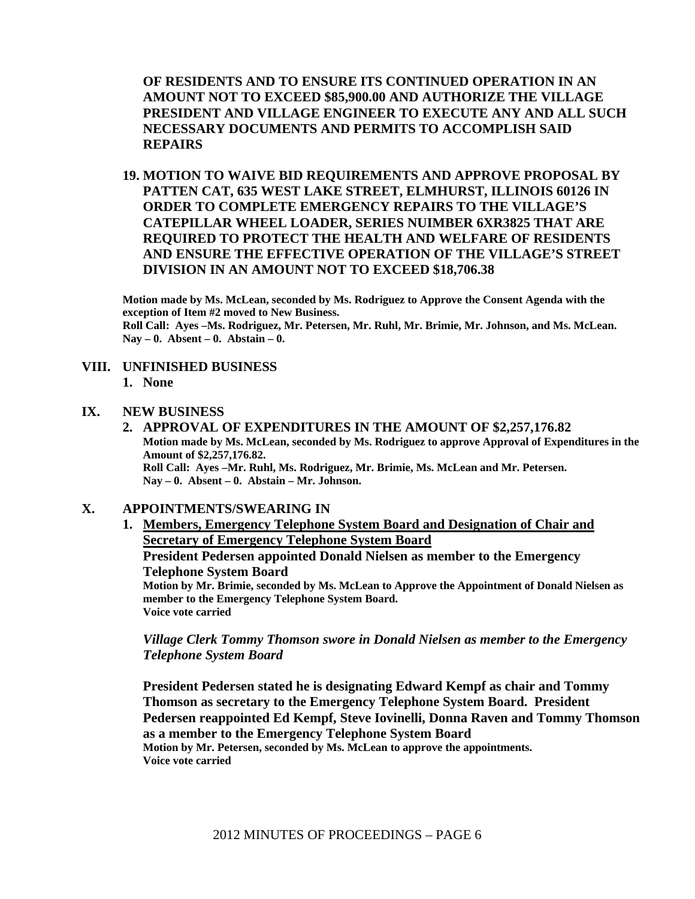**OF RESIDENTS AND TO ENSURE ITS CONTINUED OPERATION IN AN AMOUNT NOT TO EXCEED \$85,900.00 AND AUTHORIZE THE VILLAGE PRESIDENT AND VILLAGE ENGINEER TO EXECUTE ANY AND ALL SUCH NECESSARY DOCUMENTS AND PERMITS TO ACCOMPLISH SAID REPAIRS** 

**19. MOTION TO WAIVE BID REQUIREMENTS AND APPROVE PROPOSAL BY PATTEN CAT, 635 WEST LAKE STREET, ELMHURST, ILLINOIS 60126 IN ORDER TO COMPLETE EMERGENCY REPAIRS TO THE VILLAGE'S CATEPILLAR WHEEL LOADER, SERIES NUIMBER 6XR3825 THAT ARE REQUIRED TO PROTECT THE HEALTH AND WELFARE OF RESIDENTS AND ENSURE THE EFFECTIVE OPERATION OF THE VILLAGE'S STREET DIVISION IN AN AMOUNT NOT TO EXCEED \$18,706.38** 

**Motion made by Ms. McLean, seconded by Ms. Rodriguez to Approve the Consent Agenda with the exception of Item #2 moved to New Business. Roll Call: Ayes –Ms. Rodriguez, Mr. Petersen, Mr. Ruhl, Mr. Brimie, Mr. Johnson, and Ms. McLean. Nay – 0. Absent – 0. Abstain – 0.**

#### **VIII. UNFINISHED BUSINESS**

**1. None** 

#### **IX. NEW BUSINESS**

**2. APPROVAL OF EXPENDITURES IN THE AMOUNT OF \$2,257,176.82 Motion made by Ms. McLean, seconded by Ms. Rodriguez to approve Approval of Expenditures in the Amount of \$2,257,176.82. Roll Call: Ayes –Mr. Ruhl, Ms. Rodriguez, Mr. Brimie, Ms. McLean and Mr. Petersen. Nay – 0. Absent – 0. Abstain – Mr. Johnson.**

# **X. APPOINTMENTS/SWEARING IN**

**1. Members, Emergency Telephone System Board and Designation of Chair and Secretary of Emergency Telephone System Board**

**President Pedersen appointed Donald Nielsen as member to the Emergency Telephone System Board** 

**Motion by Mr. Brimie, seconded by Ms. McLean to Approve the Appointment of Donald Nielsen as member to the Emergency Telephone System Board. Voice vote carried** 

*Village Clerk Tommy Thomson swore in Donald Nielsen as member to the Emergency Telephone System Board*

**President Pedersen stated he is designating Edward Kempf as chair and Tommy Thomson as secretary to the Emergency Telephone System Board. President Pedersen reappointed Ed Kempf, Steve Iovinelli, Donna Raven and Tommy Thomson as a member to the Emergency Telephone System Board Motion by Mr. Petersen, seconded by Ms. McLean to approve the appointments. Voice vote carried**